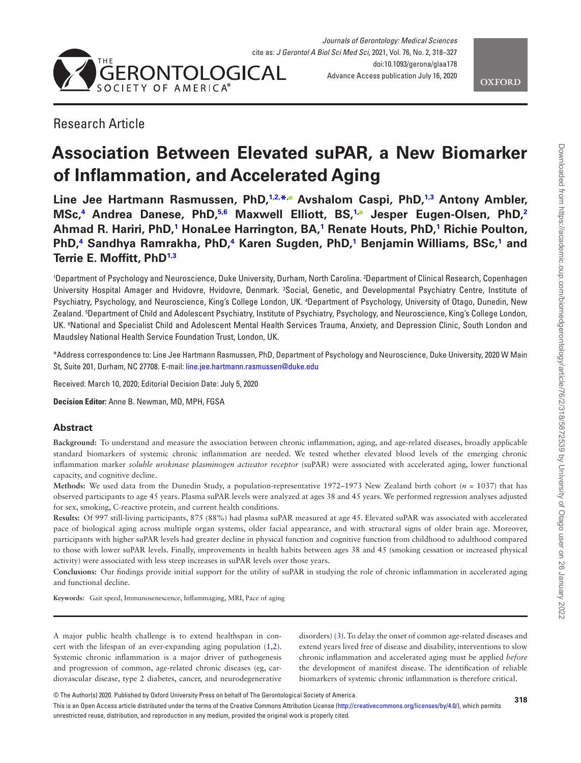



## Research Article

# **Association Between Elevated suPAR, a New Biomarker of Inflammation, and Accelerated Aging**

**Line Jee Hartmann Rasmussen, PhD,[1](#page-0-0)[,2](#page-0-1), [\\*](#page-0-2), Avshalom Caspi, PhD[,1](#page-0-0),[3](#page-0-3) Antony Ambler, MSc[,4](#page-0-4) Andrea Danese, PhD[,5](#page-0-5)[,6](#page-0-6) Maxwell Elliott, BS[,1](#page-0-0), Jesper Eugen-Olsen, PhD,[2](#page-0-1)** Ahmad R. Hariri, PhD,[1](#page-0-0) HonaLee Harrington, BA[,1](#page-0-0) Renate Houts, PhD,1 Richie Poulton, **PhD[,4](#page-0-4) Sandhya Ramrakha, PhD[,4](#page-0-4) Karen Sugden, PhD,[1](#page-0-0) Benjamin Williams, BSc,[1](#page-0-0) and Terrie E. Moffitt, Ph[D1](#page-0-0)[,3](#page-0-3)**

<span id="page-0-5"></span><span id="page-0-4"></span><span id="page-0-3"></span><span id="page-0-1"></span><span id="page-0-0"></span>1 Department of Psychology and Neuroscience, Duke University, Durham, North Carolina. 2 Department of Clinical Research, Copenhagen University Hospital Amager and Hvidovre, Hvidovre, Denmark. <sup>3</sup>Social, Genetic, and Developmental Psychiatry Centre, Institute of Psychiatry, Psychology, and Neuroscience, King's College London, UK. <sup>4</sup>Department of Psychology, University of Otago, Dunedin, New Zealand. 5 Department of Child and Adolescent Psychiatry, Institute of Psychiatry, Psychology, and Neuroscience, King's College London, UK. 6 National and Specialist Child and Adolescent Mental Health Services Trauma, Anxiety, and Depression Clinic, South London and Maudsley National Health Service Foundation Trust, London, UK.

<span id="page-0-6"></span><span id="page-0-2"></span>\*Address correspondence to: Line Jee Hartmann Rasmussen, PhD, Department of Psychology and Neuroscience, Duke University, 2020 W Main St, Suite 201, Durham, NC 27708. E-mail: [line.jee.hartmann.rasmussen@duke.edu](mailto:line.jee.hartmann.rasmussen@duke.edu?subject=)

Received: March 10, 2020; Editorial Decision Date: July 5, 2020

**Decision Editor:** Anne B. Newman, MD, MPH, FGSA

## **Abstract**

**Background:** To understand and measure the association between chronic inflammation, aging, and age-related diseases, broadly applicable standard biomarkers of systemic chronic inflammation are needed. We tested whether elevated blood levels of the emerging chronic inflammation marker *soluble urokinase plasminogen activator receptor* (suPAR) were associated with accelerated aging, lower functional capacity, and cognitive decline.

**Methods:** We used data from the Dunedin Study, a population-representative 1972–1973 New Zealand birth cohort (*n* = 1037) that has observed participants to age 45 years. Plasma suPAR levels were analyzed at ages 38 and 45 years. We performed regression analyses adjusted for sex, smoking, C-reactive protein, and current health conditions.

**Results:** Of 997 still-living participants, 875 (88%) had plasma suPAR measured at age 45. Elevated suPAR was associated with accelerated pace of biological aging across multiple organ systems, older facial appearance, and with structural signs of older brain age. Moreover, participants with higher suPAR levels had greater decline in physical function and cognitive function from childhood to adulthood compared to those with lower suPAR levels. Finally, improvements in health habits between ages 38 and 45 (smoking cessation or increased physical activity) were associated with less steep increases in suPAR levels over those years.

**Conclusions:** Our findings provide initial support for the utility of suPAR in studying the role of chronic inflammation in accelerated aging and functional decline.

**Keywords:** Gait speed, Immunosenescence, Inflammaging, MRI, Pace of aging

A major public health challenge is to extend healthspan in concert with the lifespan of an ever-expanding aging population [\(1](#page-8-0),[2](#page-8-1)). Systemic chronic inflammation is a major driver of pathogenesis and progression of common, age-related chronic diseases (eg, cardiovascular disease, type 2 diabetes, cancer, and neurodegenerative

disorders) [\(3\)](#page-8-2). To delay the onset of common age-related diseases and extend years lived free of disease and disability, interventions to slow chronic inflammation and accelerated aging must be applied *before* the development of manifest disease. The identification of reliable biomarkers of systemic chronic inflammation is therefore critical.

© The Author(s) 2020. Published by Oxford University Press on behalf of The Gerontological Society of America.

This is an Open Access article distributed under the terms of the Creative Commons Attribution License [\(http://creativecommons.org/licenses/by/4.0/](http://creativecommons.org/licenses/by/4.0/)), which permits unrestricted reuse, distribution, and reproduction in any medium, provided the original work is properly cited.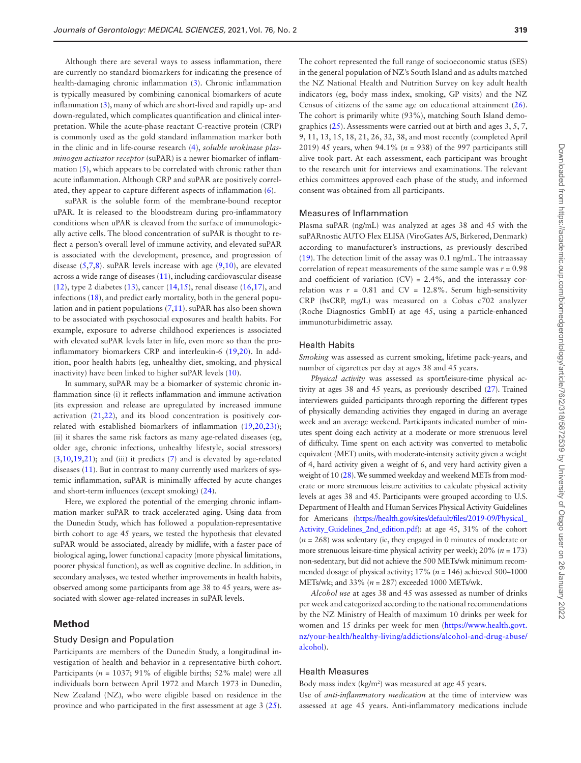Although there are several ways to assess inflammation, there are currently no standard biomarkers for indicating the presence of health-damaging chronic inflammation [\(3\)](#page-8-2). Chronic inflammation is typically measured by combining canonical biomarkers of acute inflammation ([3](#page-8-2)), many of which are short-lived and rapidly up- and down-regulated, which complicates quantification and clinical interpretation. While the acute-phase reactant C-reactive protein (CRP) is commonly used as the gold standard inflammation marker both in the clinic and in life-course research [\(4\)](#page-8-3), *soluble urokinase plasminogen activator receptor* (suPAR) is a newer biomarker of inflammation  $(5)$ , which appears to be correlated with chronic rather than acute inflammation. Although CRP and suPAR are positively correlated, they appear to capture different aspects of inflammation ([6](#page-8-5)).

suPAR is the soluble form of the membrane-bound receptor uPAR. It is released to the bloodstream during pro-inflammatory conditions when uPAR is cleaved from the surface of immunologically active cells. The blood concentration of suPAR is thought to reflect a person's overall level of immune activity, and elevated suPAR is associated with the development, presence, and progression of disease [\(5,](#page-8-4)[7](#page-8-6),[8](#page-8-7)). suPAR levels increase with age ([9](#page-8-8)[,10](#page-8-9)), are elevated across a wide range of diseases [\(11](#page-8-10)), including cardiovascular disease [\(12](#page-8-11)), type 2 diabetes  $(13)$ , cancer  $(14,15)$  $(14,15)$  $(14,15)$ , renal disease  $(16,17)$  $(16,17)$  $(16,17)$ , and infections ([18](#page-8-17)), and predict early mortality, both in the general population and in patient populations ([7](#page-8-6)[,11](#page-8-10)). suPAR has also been shown to be associated with psychosocial exposures and health habits. For example, exposure to adverse childhood experiences is associated with elevated suPAR levels later in life, even more so than the proinflammatory biomarkers CRP and interleukin-6 [\(19](#page-8-18)[,20](#page-8-19)). In addition, poor health habits (eg, unhealthy diet, smoking, and physical inactivity) have been linked to higher suPAR levels ([10\)](#page-8-9).

In summary, suPAR may be a biomarker of systemic chronic inflammation since (i) it reflects inflammation and immune activation (its expression and release are upregulated by increased immune activation ([21](#page-8-20),[22\)](#page-8-21), and its blood concentration is positively correlated with established biomarkers of inflammation ([19,](#page-8-18)[20](#page-8-19)[,23\)\)](#page-8-22); (ii) it shares the same risk factors as many age-related diseases (eg, older age, chronic infections, unhealthy lifestyle, social stressors)  $(3,10,19,21)$  $(3,10,19,21)$  $(3,10,19,21)$  $(3,10,19,21)$  $(3,10,19,21)$ ; and (iii) it predicts  $(7)$  and is elevated by age-related diseases ([11](#page-8-10)). But in contrast to many currently used markers of systemic inflammation, suPAR is minimally affected by acute changes and short-term influences (except smoking) [\(24](#page-8-23)).

Here, we explored the potential of the emerging chronic inflammation marker suPAR to track accelerated aging. Using data from the Dunedin Study, which has followed a population-representative birth cohort to age 45 years, we tested the hypothesis that elevated suPAR would be associated, already by midlife, with a faster pace of biological aging, lower functional capacity (more physical limitations, poorer physical function), as well as cognitive decline. In addition, in secondary analyses, we tested whether improvements in health habits, observed among some participants from age 38 to 45 years, were associated with slower age-related increases in suPAR levels.

#### **Method**

#### Study Design and Population

Participants are members of the Dunedin Study, a longitudinal investigation of health and behavior in a representative birth cohort. Participants (*n* = 1037; 91% of eligible births; 52% male) were all individuals born between April 1972 and March 1973 in Dunedin, New Zealand (NZ), who were eligible based on residence in the province and who participated in the first assessment at age 3 [\(25](#page-8-24)). The cohort represented the full range of socioeconomic status (SES) in the general population of NZ's South Island and as adults matched the NZ National Health and Nutrition Survey on key adult health indicators (eg, body mass index, smoking, GP visits) and the NZ Census of citizens of the same age on educational attainment [\(26](#page-8-25)). The cohort is primarily white (93%), matching South Island demographics [\(25](#page-8-24)). Assessments were carried out at birth and ages 3, 5, 7, 9, 11, 13, 15, 18, 21, 26, 32, 38, and most recently (completed April 2019) 45 years, when 94.1% (*n* = 938) of the 997 participants still alive took part. At each assessment, each participant was brought to the research unit for interviews and examinations. The relevant ethics committees approved each phase of the study, and informed consent was obtained from all participants.

#### Measures of Inflammation

Plasma suPAR (ng/mL) was analyzed at ages 38 and 45 with the suPARnostic AUTO Flex ELISA (ViroGates A/S, Birkerød, Denmark) according to manufacturer's instructions, as previously described [\(19](#page-8-18)). The detection limit of the assay was 0.1 ng/mL. The intraassay correlation of repeat measurements of the same sample was *r* = 0.98 and coefficient of variation  $(CV) = 2.4\%$ , and the interassay correlation was  $r = 0.81$  and CV = 12.8%. Serum high-sensitivity CRP (hsCRP, mg/L) was measured on a Cobas c702 analyzer (Roche Diagnostics GmbH) at age 45, using a particle-enhanced immunoturbidimetric assay.

#### Health Habits

*Smoking* was assessed as current smoking, lifetime pack-years, and number of cigarettes per day at ages 38 and 45 years.

*Physical activity* was assessed as sport/leisure-time physical activity at ages 38 and 45 years, as previously described [\(27\)](#page-8-26). Trained interviewers guided participants through reporting the different types of physically demanding activities they engaged in during an average week and an average weekend. Participants indicated number of minutes spent doing each activity at a moderate or more strenuous level of difficulty. Time spent on each activity was converted to metabolic equivalent (MET) units, with moderate-intensity activity given a weight of 4, hard activity given a weight of 6, and very hard activity given a weight of 10 ([28](#page-8-27)). We summed weekday and weekend METs from moderate or more strenuous leisure activities to calculate physical activity levels at ages 38 and 45. Participants were grouped according to U.S. Department of Health and Human Services Physical Activity Guidelines for Americans ([https://health.gov/sites/default/files/2019-09/Physical\\_](https://health.gov/sites/default/files/2019-09/Physical_Activity_Guidelines_2nd_edition.pdf﻿) [Activity\\_Guidelines\\_2nd\\_edition.pdf\)](https://health.gov/sites/default/files/2019-09/Physical_Activity_Guidelines_2nd_edition.pdf﻿): at age 45, 31% of the cohort  $(n = 268)$  was sedentary (ie, they engaged in 0 minutes of moderate or more strenuous leisure-time physical activity per week); 20% (*n* = 173) non-sedentary, but did not achieve the 500 METs/wk minimum recommended dosage of physical activity; 17% (*n* = 146) achieved 500–1000 METs/wk; and 33% (*n* = 287) exceeded 1000 METs/wk.

*Alcohol use* at ages 38 and 45 was assessed as number of drinks per week and categorized according to the national recommendations by the NZ Ministry of Health of maximum 10 drinks per week for women and 15 drinks per week for men ([https://www.health.govt.](https://www.health.govt.nz/your-health/healthy-living/addictions/alcohol-and-drug-abuse/alcohol) [nz/your-health/healthy-living/addictions/alcohol-and-drug-abuse/](https://www.health.govt.nz/your-health/healthy-living/addictions/alcohol-and-drug-abuse/alcohol) [alcohol\)](https://www.health.govt.nz/your-health/healthy-living/addictions/alcohol-and-drug-abuse/alcohol).

#### Health Measures

Body mass index (kg/m<sup>2</sup>) was measured at age 45 years.

Use of *anti-inflammatory medication* at the time of interview was assessed at age 45 years. Anti-inflammatory medications include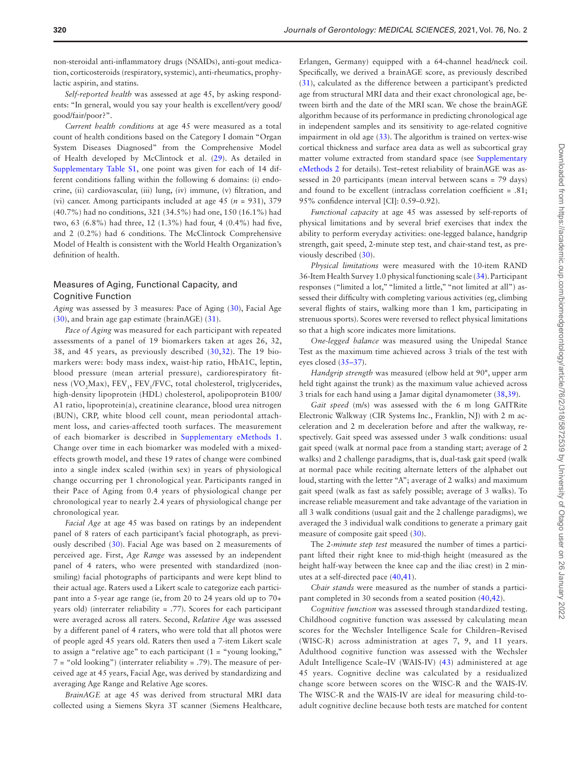non-steroidal anti-inflammatory drugs (NSAIDs), anti-gout medication, corticosteroids (respiratory, systemic), anti-rheumatics, prophylactic aspirin, and statins.

*Self-reported health* was assessed at age 45, by asking respondents: "In general, would you say your health is excellent/very good/ good/fair/poor?".

*Current health conditions* at age 45 were measured as a total count of health conditions based on the Category I domain "Organ System Diseases Diagnosed" from the Comprehensive Model of Health developed by McClintock et al. ([29\)](#page-8-28). As detailed in [Supplementary Table S1](http://academic.oup.com/biomedgerontology/article-lookup/doi/10.1093/gerona/glaa178#supplementary-data), one point was given for each of 14 different conditions falling within the following 6 domains: (i) endocrine, (ii) cardiovascular, (iii) lung, (iv) immune, (v) filtration, and (vi) cancer. Among participants included at age 45 (*n* = 931), 379 (40.7%) had no conditions, 321 (34.5%) had one, 150 (16.1%) had two, 63 (6.8%) had three, 12 (1.3%) had four, 4 (0.4%) had five, and 2 (0.2%) had 6 conditions. The McClintock Comprehensive Model of Health is consistent with the World Health Organization's definition of health.

## Measures of Aging, Functional Capacity, and Cognitive Function

Aging was assessed by 3 measures: Pace of Aging ([30\)](#page-9-0), Facial Age [\(30](#page-9-0)), and brain age gap estimate (brainAGE) ([31\)](#page-9-1).

*Pace of Aging* was measured for each participant with repeated assessments of a panel of 19 biomarkers taken at ages 26, 32, 38, and 45 years, as previously described [\(30](#page-9-0),[32\)](#page-9-2). The 19 biomarkers were: body mass index, waist-hip ratio, HbA1C, leptin, blood pressure (mean arterial pressure), cardiorespiratory fitness (VO<sub>2</sub>Max), FEV<sub>1</sub>, FEV<sub>1</sub>/FVC, total cholesterol, triglycerides, high-density lipoprotein (HDL) cholesterol, apolipoprotein B100/ A1 ratio, lipoprotein(a), creatinine clearance, blood urea nitrogen (BUN), CRP, white blood cell count, mean periodontal attachment loss, and caries-affected tooth surfaces. The measurement of each biomarker is described in [Supplementary eMethods 1.](http://academic.oup.com/biomedgerontology/article-lookup/doi/10.1093/gerona/glaa178#supplementary-data) Change over time in each biomarker was modeled with a mixedeffects growth model, and these 19 rates of change were combined into a single index scaled (within sex) in years of physiological change occurring per 1 chronological year. Participants ranged in their Pace of Aging from 0.4 years of physiological change per chronological year to nearly 2.4 years of physiological change per chronological year.

*Facial Age* at age 45 was based on ratings by an independent panel of 8 raters of each participant's facial photograph, as previously described [\(30](#page-9-0)). Facial Age was based on 2 measurements of perceived age. First, *Age Range* was assessed by an independent panel of 4 raters, who were presented with standardized (nonsmiling) facial photographs of participants and were kept blind to their actual age. Raters used a Likert scale to categorize each participant into a 5-year age range (ie, from 20 to 24 years old up to 70+ years old) (interrater reliability = .77). Scores for each participant were averaged across all raters. Second, *Relative Age* was assessed by a different panel of 4 raters, who were told that all photos were of people aged 45 years old. Raters then used a 7-item Likert scale to assign a "relative age" to each participant (1 = "young looking,"  $7 =$  "old looking") (interrater reliability = .79). The measure of perceived age at 45 years, Facial Age, was derived by standardizing and averaging Age Range and Relative Age scores.

*BrainAGE* at age 45 was derived from structural MRI data collected using a Siemens Skyra 3T scanner (Siemens Healthcare,

Erlangen, Germany) equipped with a 64-channel head/neck coil. Specifically, we derived a brainAGE score, as previously described [\(31](#page-9-1)), calculated as the difference between a participant's predicted age from structural MRI data and their exact chronological age, between birth and the date of the MRI scan. We chose the brainAGE algorithm because of its performance in predicting chronological age in independent samples and its sensitivity to age-related cognitive impairment in old age [\(33](#page-9-3)). The algorithm is trained on vertex-wise cortical thickness and surface area data as well as subcortical gray matter volume extracted from standard space (see [Supplementary](http://academic.oup.com/biomedgerontology/article-lookup/doi/10.1093/gerona/glaa178#supplementary-data)  [eMethods 2](http://academic.oup.com/biomedgerontology/article-lookup/doi/10.1093/gerona/glaa178#supplementary-data) for details). Test–retest reliability of brainAGE was assessed in 20 participants (mean interval between scans = 79 days) and found to be excellent (intraclass correlation coefficient = .81; 95% confidence interval [CI]: 0.59–0.92).

*Functional capacity* at age 45 was assessed by self-reports of physical limitations and by several brief exercises that index the ability to perform everyday activities: one-legged balance, handgrip strength, gait speed, 2-minute step test, and chair-stand test, as previously described ([30\)](#page-9-0).

*Physical limitations* were measured with the 10-item RAND 36-Item Health Survey 1.0 physical functioning scale ([34\)](#page-9-4). Participant responses ("limited a lot," "limited a little," "not limited at all") assessed their difficulty with completing various activities (eg, climbing several flights of stairs, walking more than 1 km, participating in strenuous sports). Scores were reversed to reflect physical limitations so that a high score indicates more limitations.

*One-legged balance* was measured using the Unipedal Stance Test as the maximum time achieved across 3 trials of the test with eyes closed [\(35](#page-9-5)[–37](#page-9-6)).

*Handgrip strength* was measured (elbow held at 90°, upper arm held tight against the trunk) as the maximum value achieved across 3 trials for each hand using a Jamar digital dynamometer ([38,](#page-9-7)[39\)](#page-9-8).

*Gait speed* (m/s) was assessed with the 6 m long GAITRite Electronic Walkway (CIR Systems Inc., Franklin, NJ) with 2 m acceleration and 2 m deceleration before and after the walkway, respectively. Gait speed was assessed under 3 walk conditions: usual gait speed (walk at normal pace from a standing start; average of 2 walks) and 2 challenge paradigms, that is, dual-task gait speed (walk at normal pace while reciting alternate letters of the alphabet out loud, starting with the letter "A"; average of 2 walks) and maximum gait speed (walk as fast as safely possible; average of 3 walks). To increase reliable measurement and take advantage of the variation in all 3 walk conditions (usual gait and the 2 challenge paradigms), we averaged the 3 individual walk conditions to generate a primary gait measure of composite gait speed [\(30\)](#page-9-0).

The *2-minute step test* measured the number of times a participant lifted their right knee to mid-thigh height (measured as the height half-way between the knee cap and the iliac crest) in 2 minutes at a self-directed pace [\(40](#page-9-9)[,41](#page-9-10)).

*Chair stands* were measured as the number of stands a participant completed in 30 seconds from a seated position ([40,](#page-9-9)[42\)](#page-9-11).

*Cognitive function* was assessed through standardized testing. Childhood cognitive function was assessed by calculating mean scores for the Wechsler Intelligence Scale for Children–Revised (WISC-R) across administration at ages 7, 9, and 11 years. Adulthood cognitive function was assessed with the Wechsler Adult Intelligence Scale–IV (WAIS-IV) ([43](#page-9-12)) administered at age 45 years. Cognitive decline was calculated by a residualized change score between scores on the WISC-R and the WAIS-IV. The WISC-R and the WAIS-IV are ideal for measuring child-toadult cognitive decline because both tests are matched for content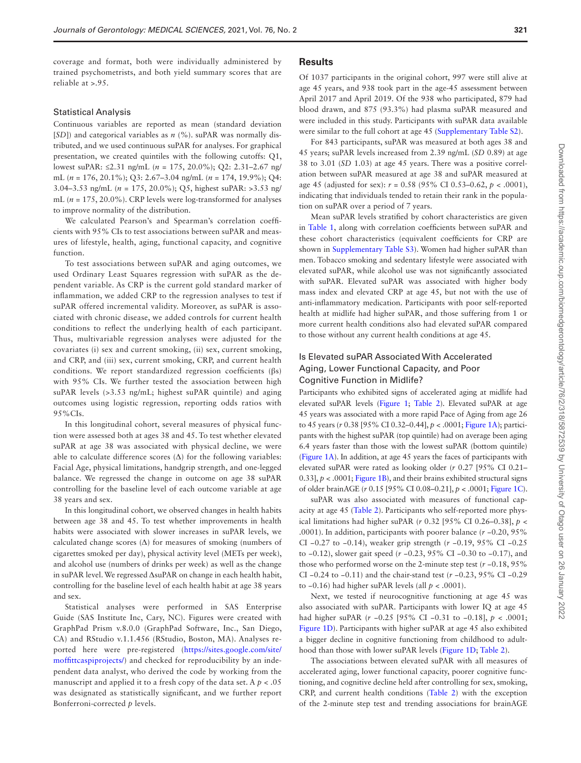coverage and format, both were individually administered by trained psychometrists, and both yield summary scores that are reliable at >.95.

#### Statistical Analysis

Continuous variables are reported as mean (standard deviation [*SD*]) and categorical variables as *n* (%). suPAR was normally distributed, and we used continuous suPAR for analyses. For graphical presentation, we created quintiles with the following cutoffs: Q1, lowest suPAR: ≤2.31 ng/mL (*n* = 175, 20.0%); Q2: 2.31–2.67 ng/ mL (*n* = 176, 20.1%); Q3: 2.67–3.04 ng/mL (*n* = 174, 19.9%); Q4: 3.04–3.53 ng/mL (*n* = 175, 20.0%); Q5, highest suPAR: >3.53 ng/ mL (*n* = 175, 20.0%). CRP levels were log-transformed for analyses to improve normality of the distribution.

We calculated Pearson's and Spearman's correlation coefficients with 95% CIs to test associations between suPAR and measures of lifestyle, health, aging, functional capacity, and cognitive function.

To test associations between suPAR and aging outcomes, we used Ordinary Least Squares regression with suPAR as the dependent variable. As CRP is the current gold standard marker of inflammation, we added CRP to the regression analyses to test if suPAR offered incremental validity. Moreover, as suPAR is associated with chronic disease, we added controls for current health conditions to reflect the underlying health of each participant. Thus, multivariable regression analyses were adjusted for the covariates (i) sex and current smoking, (ii) sex, current smoking, and CRP, and (iii) sex, current smoking, CRP, and current health conditions. We report standardized regression coefficients (βs) with 95% CIs. We further tested the association between high suPAR levels (>3.53 ng/mL; highest suPAR quintile) and aging outcomes using logistic regression, reporting odds ratios with 95%CIs.

In this longitudinal cohort, several measures of physical function were assessed both at ages 38 and 45. To test whether elevated suPAR at age 38 was associated with physical decline, we were able to calculate difference scores  $(\Delta)$  for the following variables: Facial Age, physical limitations, handgrip strength, and one-legged balance. We regressed the change in outcome on age 38 suPAR controlling for the baseline level of each outcome variable at age 38 years and sex.

In this longitudinal cohort, we observed changes in health habits between age 38 and 45. To test whether improvements in health habits were associated with slower increases in suPAR levels, we calculated change scores (Δ) for measures of smoking (numbers of cigarettes smoked per day), physical activity level (METs per week), and alcohol use (numbers of drinks per week) as well as the change in suPAR level. We regressed ΔsuPAR on change in each health habit, controlling for the baseline level of each health habit at age 38 years and sex.

Statistical analyses were performed in SAS Enterprise Guide (SAS Institute Inc, Cary, NC). Figures were created with GraphPad Prism v.8.0.0 (GraphPad Software, Inc., San Diego, CA) and RStudio v.1.1.456 (RStudio, Boston, MA). Analyses reported here were pre-registered ([https://sites.google.com/site/](https://sites.google.com/site/moffittcaspiprojects/) [moffittcaspiprojects/](https://sites.google.com/site/moffittcaspiprojects/)) and checked for reproducibility by an independent data analyst, who derived the code by working from the manuscript and applied it to a fresh copy of the data set. A *p* < .05 was designated as statistically significant, and we further report Bonferroni-corrected *p* levels.

#### **Results**

Of 1037 participants in the original cohort, 997 were still alive at age 45 years, and 938 took part in the age-45 assessment between April 2017 and April 2019. Of the 938 who participated, 879 had blood drawn, and 875 (93.3%) had plasma suPAR measured and were included in this study. Participants with suPAR data available were similar to the full cohort at age 45 [\(Supplementary Table S2](http://academic.oup.com/biomedgerontology/article-lookup/doi/10.1093/gerona/glaa178#supplementary-data)).

For 843 participants, suPAR was measured at both ages 38 and 45 years; suPAR levels increased from 2.39 ng/mL (*SD* 0.89) at age 38 to 3.01 (*SD* 1.03) at age 45 years. There was a positive correlation between suPAR measured at age 38 and suPAR measured at age 45 (adjusted for sex): *r* = 0.58 (95% CI 0.53–0.62, *p* < .0001), indicating that individuals tended to retain their rank in the population on suPAR over a period of 7 years.

Mean suPAR levels stratified by cohort characteristics are given in [Table 1](#page-4-0), along with correlation coefficients between suPAR and these cohort characteristics (equivalent coefficients for CRP are shown in [Supplementary Table S3](http://academic.oup.com/biomedgerontology/article-lookup/doi/10.1093/gerona/glaa178#supplementary-data)). Women had higher suPAR than men. Tobacco smoking and sedentary lifestyle were associated with elevated suPAR, while alcohol use was not significantly associated with suPAR. Elevated suPAR was associated with higher body mass index and elevated CRP at age 45, but not with the use of anti-inflammatory medication. Participants with poor self-reported health at midlife had higher suPAR, and those suffering from 1 or more current health conditions also had elevated suPAR compared to those without any current health conditions at age 45.

## Is Elevated suPAR Associated With Accelerated Aging, Lower Functional Capacity, and Poor Cognitive Function in Midlife?

Participants who exhibited signs of accelerated aging at midlife had elevated suPAR levels [\(Figure 1;](#page-5-0) [Table 2](#page-6-0)). Elevated suPAR at age 45 years was associated with a more rapid Pace of Aging from age 26 to 45 years (*r* 0.38 [95% CI 0.32–0.44], *p* < .0001; [Figure 1A](#page-5-0)); participants with the highest suPAR (top quintile) had on average been aging 6.4 years faster than those with the lowest suPAR (bottom quintile) [\(Figure 1A\)](#page-5-0). In addition, at age 45 years the faces of participants with elevated suPAR were rated as looking older (*r* 0.27 [95% CI 0.21– 0.33],  $p < .0001$ ; [Figure 1B](#page-5-0)), and their brains exhibited structural signs of older brainAGE (*r* 0.15 [95% CI 0.08–0.21], *p* < .0001; [Figure 1C](#page-5-0)).

suPAR was also associated with measures of functional capacity at age 45 [\(Table 2](#page-6-0)). Participants who self-reported more physical limitations had higher suPAR (*r* 0.32 [95% CI 0.26–0.38], *p* < .0001). In addition, participants with poorer balance (*r* −0.20, 95% CI −0.27 to −0.14), weaker grip strength (*r* −0.19, 95% CI −0.25 to −0.12), slower gait speed (*r* −0.23, 95% CI −0.30 to −0.17), and those who performed worse on the 2-minute step test (*r* −0.18, 95% CI −0.24 to −0.11) and the chair-stand test (*r* −0.23, 95% CI −0.29 to −0.16) had higher suPAR levels (all *p* < .0001).

Next, we tested if neurocognitive functioning at age 45 was also associated with suPAR. Participants with lower IQ at age 45 had higher suPAR (*r* −0.25 [95% CI −0.31 to −0.18], *p* < .0001; [Figure 1D](#page-5-0)). Participants with higher suPAR at age 45 also exhibited a bigger decline in cognitive functioning from childhood to adulthood than those with lower suPAR levels [\(Figure 1D](#page-5-0); [Table 2\)](#page-6-0).

The associations between elevated suPAR with all measures of accelerated aging, lower functional capacity, poorer cognitive functioning, and cognitive decline held after controlling for sex, smoking, CRP, and current health conditions [\(Table 2](#page-6-0)) with the exception of the 2-minute step test and trending associations for brainAGE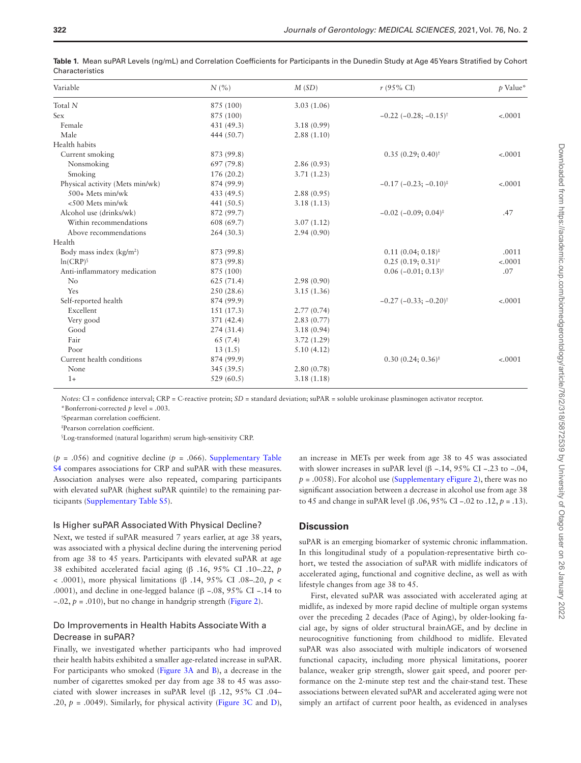| Variable                        | N(%          | M(SD)      | $r$ (95% CI)                               | $p$ Value* |
|---------------------------------|--------------|------------|--------------------------------------------|------------|
| Total N                         | 875 (100)    | 3.03(1.06) |                                            |            |
| Sex                             | 875 (100)    |            | $-0.22$ ( $-0.28$ ; $-0.15$ ) <sup>†</sup> | $-.0001$   |
| Female                          | 431 (49.3)   | 3.18(0.99) |                                            |            |
| Male                            | 444 (50.7)   | 2.88(1.10) |                                            |            |
| Health habits                   |              |            |                                            |            |
| Current smoking                 | 873 (99.8)   |            | $0.35(0.29; 0.40)^{\dagger}$               | $-.0001$   |
| Nonsmoking                      | 697 (79.8)   | 2.86(0.93) |                                            |            |
| Smoking                         | 176(20.2)    | 3.71(1.23) |                                            |            |
| Physical activity (Mets min/wk) | 874 (99.9)   |            | $-0.17$ $(-0.23; -0.10)^{\ddagger}$        | $-.0001$   |
| 500+ Mets min/wk                | 433 (49.5)   | 2.88(0.95) |                                            |            |
| $< 500$ Mets min/wk             | 441 $(50.5)$ | 3.18(1.13) |                                            |            |
| Alcohol use (drinks/wk)         | 872 (99.7)   |            | $-0.02$ ( $-0.09$ ; $0.04$ ) <sup>‡</sup>  | .47        |
| Within recommendations          | 608 (69.7)   | 3.07(1.12) |                                            |            |
| Above recommendations           | 264(30.3)    | 2.94(0.90) |                                            |            |
| Health                          |              |            |                                            |            |
| Body mass index $(kg/m2)$       | 873 (99.8)   |            | $0.11(0.04; 0.18)^{\ddagger}$              | .0011      |
| $ln(CRP)^5$                     | 873 (99.8)   |            | $0.25(0.19; 0.31)^{\ddagger}$              | $-.0001$   |
| Anti-inflammatory medication    | 875 (100)    |            | $0.06$ (-0.01; 0.13) <sup>†</sup>          | .07        |
| No                              | 625(71.4)    | 2.98(0.90) |                                            |            |
| Yes                             | 250(28.6)    | 3.15(1.36) |                                            |            |
| Self-reported health            | 874 (99.9)   |            | $-0.27$ ( $-0.33$ ; $-0.20$ ) <sup>†</sup> | $-.0001$   |
| Excellent                       | 151 (17.3)   | 2.77(0.74) |                                            |            |
| Very good                       | 371 (42.4)   | 2.83(0.77) |                                            |            |
| Good                            | 274(31.4)    | 3.18(0.94) |                                            |            |
| Fair                            | 65 (7.4)     | 3.72(1.29) |                                            |            |
| Poor                            | 13(1.5)      | 5.10(4.12) |                                            |            |
| Current health conditions       | 874 (99.9)   |            | $0.30(0.24; 0.36)^{\ddagger}$              | $-.0001$   |
| None                            | 345 (39.5)   | 2.80(0.78) |                                            |            |
| $1+$                            | 529(60.5)    | 3.18(1.18) |                                            |            |

<span id="page-4-0"></span>**Table 1.** Mean suPAR Levels (ng/mL) and Correlation Coefficients for Participants in the Dunedin Study at Age 45 Years Stratified by Cohort **Characteristics** 

*Notes:* CI = confidence interval; CRP = C-reactive protein; *SD* = standard deviation; suPAR = soluble urokinase plasminogen activator receptor.

\*Bonferroni-corrected *p* level = .003.

† Spearman correlation coefficient. ‡ Pearson correlation coefficient.

§ Log-transformed (natural logarithm) serum high-sensitivity CRP.

 $(p = .056)$  and cognitive decline  $(p = .066)$ . Supplementary Table [S4](http://academic.oup.com/biomedgerontology/article-lookup/doi/10.1093/gerona/glaa178#supplementary-data) compares associations for CRP and suPAR with these measures. Association analyses were also repeated, comparing participants with elevated suPAR (highest suPAR quintile) to the remaining participants ([Supplementary Table S5\)](http://academic.oup.com/biomedgerontology/article-lookup/doi/10.1093/gerona/glaa178#supplementary-data).

#### Is Higher suPAR Associated With Physical Decline?

Next, we tested if suPAR measured 7 years earlier, at age 38 years, was associated with a physical decline during the intervening period from age 38 to 45 years. Participants with elevated suPAR at age 38 exhibited accelerated facial aging (β .16, 95% CI .10–.22, *p* < .0001), more physical limitations (β .14, 95% CI .08–.20, *p* < .0001), and decline in one-legged balance (β −.08, 95% CI −.14 to −.02, *p* = .010), but no change in handgrip strength [\(Figure 2\)](#page-6-1).

## Do Improvements in Health Habits Associate With a Decrease in suPAR?

Finally, we investigated whether participants who had improved their health habits exhibited a smaller age-related increase in suPAR. For participants who smoked ([Figure 3A](#page-7-0) and [B](#page-7-0)), a decrease in the number of cigarettes smoked per day from age 38 to 45 was associated with slower increases in suPAR level (β .12, 95% CI .04– .20,  $p = .0049$ ). Similarly, for physical activity ([Figure 3C](#page-7-0) and [D](#page-7-0)), an increase in METs per week from age 38 to 45 was associated with slower increases in suPAR level ( $\beta$  –.14, 95% CI –.23 to –.04,  $p = .0058$ ). For alcohol use [\(Supplementary eFigure 2\)](http://academic.oup.com/biomedgerontology/article-lookup/doi/10.1093/gerona/glaa178#supplementary-data), there was no significant association between a decrease in alcohol use from age 38 to 45 and change in suPAR level (β .06, 95% CI −.02 to .12, *p* = .13).

#### **Discussion**

suPAR is an emerging biomarker of systemic chronic inflammation. In this longitudinal study of a population-representative birth cohort, we tested the association of suPAR with midlife indicators of accelerated aging, functional and cognitive decline, as well as with lifestyle changes from age 38 to 45.

First, elevated suPAR was associated with accelerated aging at midlife, as indexed by more rapid decline of multiple organ systems over the preceding 2 decades (Pace of Aging), by older-looking facial age, by signs of older structural brainAGE, and by decline in neurocognitive functioning from childhood to midlife. Elevated suPAR was also associated with multiple indicators of worsened functional capacity, including more physical limitations, poorer balance, weaker grip strength, slower gait speed, and poorer performance on the 2-minute step test and the chair-stand test. These associations between elevated suPAR and accelerated aging were not simply an artifact of current poor health, as evidenced in analyses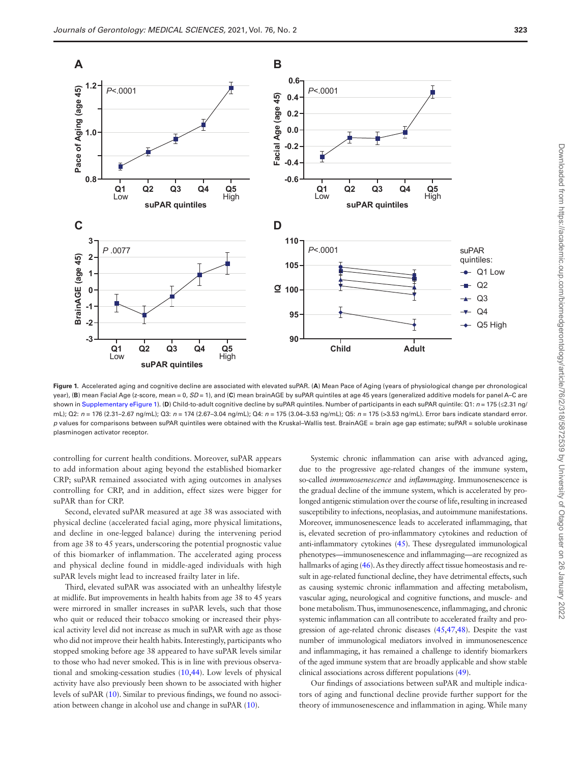

<span id="page-5-0"></span>**Figure 1.** Accelerated aging and cognitive decline are associated with elevated suPAR. (**A**) Mean Pace of Aging (years of physiological change per chronological year), (B) mean Facial Age (z-score, mean = 0,  $SD$  = 1), and (C) mean brainAGE by suPAR quintiles at age 45 years (generalized additive models for panel A–C are shown in [Supplementary eFigure 1](http://academic.oup.com/biomedgerontology/article-lookup/doi/10.1093/gerona/glaa178#supplementary-data)). (**D**) Child-to-adult cognitive decline by suPAR quintiles. Number of participants in each suPAR quintile: Q1: *n* = 175 (≤2.31 ng/ mL); Q2: *n* = 176 (2.31–2.67 ng/mL); Q3: *n* = 174 (2.67–3.04 ng/mL); Q4: *n* = 175 (3.04–3.53 ng/mL); Q5: *n* = 175 (>3.53 ng/mL). Error bars indicate standard error. *p* values for comparisons between suPAR quintiles were obtained with the Kruskal–Wallis test. BrainAGE = brain age gap estimate; suPAR = soluble urokinase plasminogen activator receptor.

controlling for current health conditions. Moreover, suPAR appears to add information about aging beyond the established biomarker CRP; suPAR remained associated with aging outcomes in analyses controlling for CRP, and in addition, effect sizes were bigger for suPAR than for CRP.

Second, elevated suPAR measured at age 38 was associated with physical decline (accelerated facial aging, more physical limitations, and decline in one-legged balance) during the intervening period from age 38 to 45 years, underscoring the potential prognostic value of this biomarker of inflammation. The accelerated aging process and physical decline found in middle-aged individuals with high suPAR levels might lead to increased frailty later in life.

Third, elevated suPAR was associated with an unhealthy lifestyle at midlife. But improvements in health habits from age 38 to 45 years were mirrored in smaller increases in suPAR levels, such that those who quit or reduced their tobacco smoking or increased their physical activity level did not increase as much in suPAR with age as those who did not improve their health habits. Interestingly, participants who stopped smoking before age 38 appeared to have suPAR levels similar to those who had never smoked. This is in line with previous observational and smoking-cessation studies [\(10](#page-8-9)[,44\)](#page-9-13). Low levels of physical activity have also previously been shown to be associated with higher levels of suPAR [\(10\)](#page-8-9). Similar to previous findings, we found no association between change in alcohol use and change in suPAR ([10](#page-8-9)).

Systemic chronic inflammation can arise with advanced aging, due to the progressive age-related changes of the immune system, so-called *immunosenescence* and *inflammaging*. Immunosenescence is the gradual decline of the immune system, which is accelerated by prolonged antigenic stimulation over the course of life, resulting in increased susceptibility to infections, neoplasias, and autoimmune manifestations. Moreover, immunosenescence leads to accelerated inflammaging, that is, elevated secretion of pro-inflammatory cytokines and reduction of anti-inflammatory cytokines [\(45\)](#page-9-14). These dysregulated immunological phenotypes—immunosenescence and inflammaging—are recognized as hallmarks of aging [\(46\)](#page-9-15). As they directly affect tissue homeostasis and result in age-related functional decline, they have detrimental effects, such as causing systemic chronic inflammation and affecting metabolism, vascular aging, neurological and cognitive functions, and muscle- and bone metabolism. Thus, immunosenescence, inflammaging, and chronic systemic inflammation can all contribute to accelerated frailty and progression of age-related chronic diseases [\(45](#page-9-14)[,47,](#page-9-16)[48](#page-9-17)). Despite the vast number of immunological mediators involved in immunosenescence and inflammaging, it has remained a challenge to identify biomarkers of the aged immune system that are broadly applicable and show stable clinical associations across different populations [\(49](#page-9-18)).

Our findings of associations between suPAR and multiple indicators of aging and functional decline provide further support for the theory of immunosenescence and inflammation in aging. While many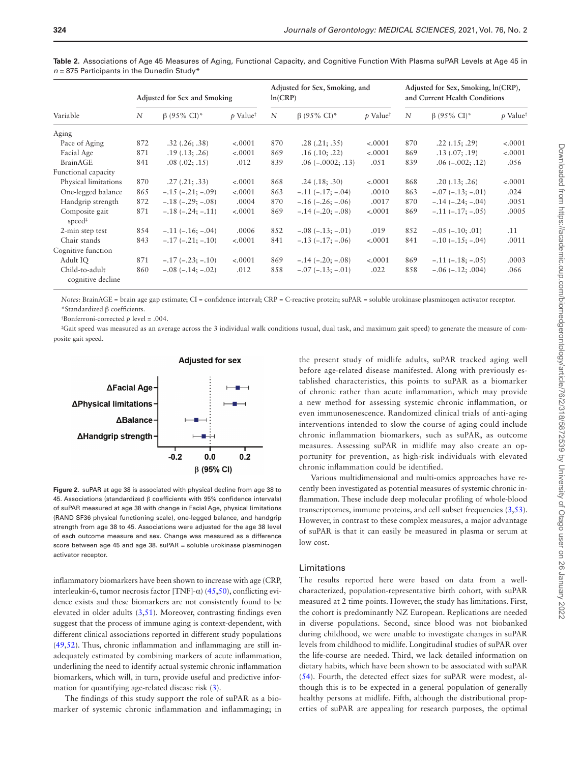| Variable                             | Adjusted for Sex and Smoking |                     |                        | Adjusted for Sex, Smoking, and<br>ln(CRP) |                            |                        | Adjusted for Sex, Smoking, ln(CRP),<br>and Current Health Conditions |                         |                        |
|--------------------------------------|------------------------------|---------------------|------------------------|-------------------------------------------|----------------------------|------------------------|----------------------------------------------------------------------|-------------------------|------------------------|
|                                      | N                            | $\beta$ (95% CI)*   | $p$ Value <sup>†</sup> | N                                         | $\beta$ (95% CI)*          | $p$ Value <sup>†</sup> | N                                                                    | $\beta$ (95% CI)*       | $p$ Value <sup>†</sup> |
| Aging                                |                              |                     |                        |                                           |                            |                        |                                                                      |                         |                        |
| Pace of Aging                        | 872                          | $.32$ $(.26; .38)$  | $-.0001$               | 870                                       | .28(.21; .35)              | $-.0001$               | 870                                                                  | $.22$ ( $.15$ ; $.29$ ) | $-.0001$               |
| Facial Age                           | 871                          | $.19$ $(.13; .26)$  | $-.0001$               | 869                                       | $.16$ $(.10; .22)$         | $-.0001$               | 869                                                                  | .13(.07; .19)           | $-.0001$               |
| BrainAGE                             | 841                          | $.08$ $(.02; .15)$  | .012                   | 839                                       | $.06$ ( $-.0002$ ; $.13$ ) | .051                   | 839                                                                  | $.06(-.002; .12)$       | .056                   |
| Functional capacity                  |                              |                     |                        |                                           |                            |                        |                                                                      |                         |                        |
| Physical limitations                 | 870                          | .27(.21; .33)       | $-.0001$               | 868                                       | $.24$ $(.18; .30)$         | < .0001                | 868                                                                  | .20(.13; .26)           | $-.0001$               |
| One-legged balance                   | 865                          | $-.15(-.21; -.09)$  | $-.0001$               | 863                                       | $-.11 (-.17; -.04)$        | .0010                  | 863                                                                  | $-.07 (-13; -.01)$      | .024                   |
| Handgrip strength                    | 872                          | $-.18 (-.29; -.08)$ | .0004                  | 870                                       | $-.16 (-.26; -.06)$        | .0017                  | 870                                                                  | $-.14 (-.24; -.04)$     | .0051                  |
| Composite gait<br>speed <sup>#</sup> | 871                          | $-.18 (-.24; -.11)$ | $-.0001$               | 869                                       | $-.14 (-.20; -.08)$        | $-.0001$               | 869                                                                  | $-.11 (-.17; -.05)$     | .0005                  |
| 2-min step test                      | 854                          | $-.11 (-.16; -.04)$ | .0006                  | 852                                       | $-.08 (-.13; -.01)$        | .019                   | 852                                                                  | $-.05 (-.10; .01)$      | .11                    |
| Chair stands                         | 843                          | $-.17(-.21; -.10)$  | $-.0001$               | 841                                       | $-.13(-.17; -.06)$         | $-.0001$               | 841                                                                  | $-.10 (-.15; -.04)$     | .0011                  |
| Cognitive function                   |                              |                     |                        |                                           |                            |                        |                                                                      |                         |                        |
| Adult IO                             | 871                          | $-.17(-.23; -.10)$  | $-.0001$               | 869                                       | $-.14 (-.20; -.08)$        | $-.0001$               | 869                                                                  | $-.11 (-.18; -.05)$     | .0003                  |
| Child-to-adult<br>cognitive decline  | 860                          | $-.08 (-.14; -.02)$ | .012                   | 858                                       | $-.07(-.13; -.01)$         | .022                   | 858                                                                  | $-.06 (-.12; .004)$     | .066                   |

<span id="page-6-0"></span>Table 2. Associations of Age 45 Measures of Aging, Functional Capacity, and Cognitive Function With Plasma suPAR Levels at Age 45 in *n* = 875 Participants in the Dunedin Study\*

*Notes:* BrainAGE = brain age gap estimate; CI = confidence interval; CRP = C-reactive protein; suPAR = soluble urokinase plasminogen activator receptor. \*Standardized β coefficients.

† Bonferroni-corrected *p* level = .004.

‡ Gait speed was measured as an average across the 3 individual walk conditions (usual, dual task, and maximum gait speed) to generate the measure of composite gait speed.



<span id="page-6-1"></span>**Figure 2.** suPAR at age 38 is associated with physical decline from age 38 to 45. Associations (standardized β coefficients with 95% confidence intervals) of suPAR measured at age 38 with change in Facial Age, physical limitations (RAND SF36 physical functioning scale), one-legged balance, and handgrip strength from age 38 to 45. Associations were adjusted for the age 38 level of each outcome measure and sex. Change was measured as a difference score between age 45 and age 38. suPAR = soluble urokinase plasminogen activator receptor.

inflammatory biomarkers have been shown to increase with age (CRP, interleukin-6, tumor necrosis factor [TNF]-α) ([45](#page-9-14),[50](#page-9-19)), conflicting evidence exists and these biomarkers are not consistently found to be elevated in older adults ([3](#page-8-2)[,51\)](#page-9-20). Moreover, contrasting findings even suggest that the process of immune aging is context-dependent, with different clinical associations reported in different study populations [\(49](#page-9-18)[,52](#page-9-21)). Thus, chronic inflammation and inflammaging are still inadequately estimated by combining markers of acute inflammation, underlining the need to identify actual systemic chronic inflammation biomarkers, which will, in turn, provide useful and predictive information for quantifying age-related disease risk ([3\)](#page-8-2).

The findings of this study support the role of suPAR as a biomarker of systemic chronic inflammation and inflammaging; in

the present study of midlife adults, suPAR tracked aging well before age-related disease manifested. Along with previously established characteristics, this points to suPAR as a biomarker of chronic rather than acute inflammation, which may provide a new method for assessing systemic chronic inflammation, or even immunosenescence. Randomized clinical trials of anti-aging interventions intended to slow the course of aging could include chronic inflammation biomarkers, such as suPAR, as outcome measures. Assessing suPAR in midlife may also create an opportunity for prevention, as high-risk individuals with elevated chronic inflammation could be identified.

Various multidimensional and multi-omics approaches have recently been investigated as potential measures of systemic chronic inflammation. These include deep molecular profiling of whole-blood transcriptomes, immune proteins, and cell subset frequencies [\(3](#page-8-2)[,53](#page-9-22)). However, in contrast to these complex measures, a major advantage of suPAR is that it can easily be measured in plasma or serum at low cost.

## Limitations

The results reported here were based on data from a wellcharacterized, population-representative birth cohort, with suPAR measured at 2 time points. However, the study has limitations. First, the cohort is predominantly NZ European. Replications are needed in diverse populations. Second, since blood was not biobanked during childhood, we were unable to investigate changes in suPAR levels from childhood to midlife. Longitudinal studies of suPAR over the life-course are needed. Third, we lack detailed information on dietary habits, which have been shown to be associated with suPAR [\(54](#page-9-23)). Fourth, the detected effect sizes for suPAR were modest, although this is to be expected in a general population of generally healthy persons at midlife. Fifth, although the distributional properties of suPAR are appealing for research purposes, the optimal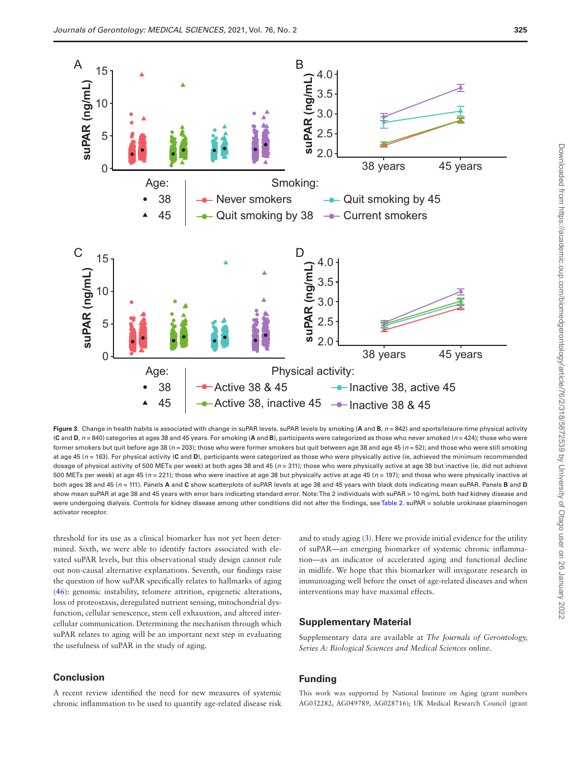

<span id="page-7-0"></span>**Figure 3.** Change in health habits is associated with change in suPAR levels. suPAR levels by smoking (**A** and **B**, *n* = 842) and sports/leisure-time physical activity (**C** and **D**, *n* = 840) categories at ages 38 and 45 years. For smoking (**A** and **B**), participants were categorized as those who never smoked (*n* = 424); those who were former smokers but quit before age 38 (*n* = 203); those who were former smokers but quit between age 38 and age 45 (*n* = 52); and those who were still smoking at age 45 ( $n = 163$ ). For physical activity (C and D), participants were categorized as those who were physically active (ie, achieved the minimum recommended dosage of physical activity of 500 METs per week) at both ages 38 and 45 ( $n = 311$ ); those who were physically active at age 38 but inactive (ie, did not achieve 500 METs per week) at age 45 (*n* = 221); those who were inactive at age 38 but physically active at age 45 (*n* = 197); and those who were physically inactive at both ages 38 and 45 (*n* = 111). Panels **A** and **C** show scatterplots of suPAR levels at age 38 and 45 years with black dots indicating mean suPAR. Panels **B** and **D** show mean suPAR at age 38 and 45 years with error bars indicating standard error. Note: The 2 individuals with suPAR > 10 ng/mL both had kidney disease and were undergoing dialysis. Controls for kidney disease among other conditions did not alter the findings, see [Table 2.](#page-6-0) suPAR = soluble urokinase plasminogen activator receptor.

threshold for its use as a clinical biomarker has not yet been determined. Sixth, we were able to identify factors associated with elevated suPAR levels, but this observational study design cannot rule out non-causal alternative explanations. Seventh, our findings raise the question of how suPAR specifically relates to hallmarks of aging [\(46](#page-9-15)): genomic instability, telomere attrition, epigenetic alterations, loss of proteostasis, deregulated nutrient sensing, mitochondrial dysfunction, cellular senescence, stem cell exhaustion, and altered intercellular communication. Determining the mechanism through which suPAR relates to aging will be an important next step in evaluating the usefulness of suPAR in the study of aging.

## **Conclusion**

A recent review identified the need for new measures of systemic chronic inflammation to be used to quantify age-related disease risk

and to study aging ([3](#page-8-2)). Here we provide initial evidence for the utility of suPAR—an emerging biomarker of systemic chronic inflammation—as an indicator of accelerated aging and functional decline in midlife. We hope that this biomarker will invigorate research in immunoaging well before the onset of age-related diseases and when interventions may have maximal effects.

#### **Supplementary Material**

Supplementary data are available at *The Journals of Gerontology, Series A: Biological Sciences and Medical Sciences* online.

## **Funding**

This work was supported by National Institute on Aging (grant numbers AG032282, AG049789, AG028716); UK Medical Research Council (grant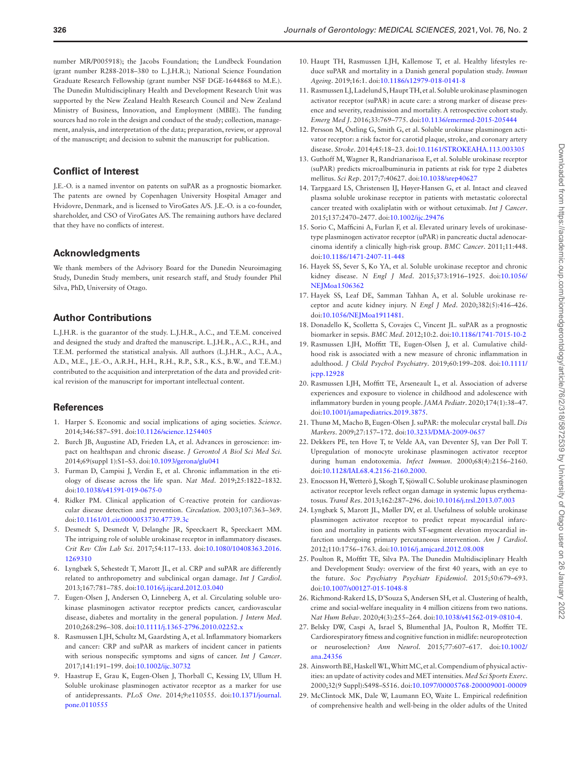number MR/P005918); the Jacobs Foundation; the Lundbeck Foundation (grant number R288-2018–380 to L.J.H.R.); National Science Foundation Graduate Research Fellowship (grant number NSF DGE-1644868 to M.E.). The Dunedin Multidisciplinary Health and Development Research Unit was supported by the New Zealand Health Research Council and New Zealand Ministry of Business, Innovation, and Employment (MBIE). The funding sources had no role in the design and conduct of the study; collection, management, analysis, and interpretation of the data; preparation, review, or approval of the manuscript; and decision to submit the manuscript for publication.

## **Conflict of Interest**

J.E.-O. is a named inventor on patents on suPAR as a prognostic biomarker. The patents are owned by Copenhagen University Hospital Amager and Hvidovre, Denmark, and is licensed to ViroGates A/S. J.E.-O. is a co-founder, shareholder, and CSO of ViroGates A/S. The remaining authors have declared that they have no conflicts of interest.

#### **Acknowledgments**

We thank members of the Advisory Board for the Dunedin Neuroimaging Study, Dunedin Study members, unit research staff, and Study founder Phil Silva, PhD, University of Otago.

## **Author Contributions**

L.J.H.R. is the guarantor of the study. L.J.H.R., A.C., and T.E.M. conceived and designed the study and drafted the manuscript. L.J.H.R., A.C., R.H., and T.E.M. performed the statistical analysis. All authors (L.J.H.R., A.C., A.A., A.D., M.E., J.E.-O., A.R.H., H.H., R.H., R.P., S.R., K.S., B.W., and T.E.M.) contributed to the acquisition and interpretation of the data and provided critical revision of the manuscript for important intellectual content.

## **References**

- <span id="page-8-0"></span>1. Harper S. Economic and social implications of aging societies. *Science*. 2014;346:587–591. doi:[10.1126/science.1254405](https://doi.org/10.1126/science.1254405)
- <span id="page-8-1"></span>2. Burch JB, Augustine AD, Frieden LA, et al. Advances in geroscience: impact on healthspan and chronic disease. *J Gerontol A Biol Sci Med Sci*. 2014;69(suppl 1):S1–S3. doi[:10.1093/gerona/glu041](https://doi.org/10.1093/gerona/glu041)
- <span id="page-8-2"></span>3. Furman D, Campisi J, Verdin E, et al. Chronic inflammation in the etiology of disease across the life span. *Nat Med*. 2019;25:1822–1832. doi[:10.1038/s41591-019-0675-0](https://doi.org/10.1038/s41591-019-0675-0)
- <span id="page-8-3"></span>4. Ridker PM. Clinical application of C-reactive protein for cardiovascular disease detection and prevention. *Circulation*. 2003;107:363–369. doi[:10.1161/01.cir.0000053730.47739.3c](https://doi.org/10.1161/01.cir.0000053730.47739.3c)
- <span id="page-8-4"></span>5. Desmedt S, Desmedt V, Delanghe JR, Speeckaert R, Speeckaert MM. The intriguing role of soluble urokinase receptor in inflammatory diseases. *Crit Rev Clin Lab Sci*. 2017;54:117–133. doi:[10.1080/10408363.2016.](https://doi.org/10.1080/10408363.2016.1269310) [1269310](https://doi.org/10.1080/10408363.2016.1269310)
- <span id="page-8-5"></span>6. Lyngbæk S, Sehestedt T, Marott JL, et al. CRP and suPAR are differently related to anthropometry and subclinical organ damage. *Int J Cardiol*. 2013;167:781–785. doi:[10.1016/j.ijcard.2012.03.040](https://doi.org/10.1016/j.ijcard.2012.03.040)
- <span id="page-8-6"></span>7. Eugen-Olsen J, Andersen O, Linneberg A, et al. Circulating soluble urokinase plasminogen activator receptor predicts cancer, cardiovascular disease, diabetes and mortality in the general population. *J Intern Med*. 2010;268:296–308. doi:[10.1111/j.1365-2796.2010.02252.x](https://doi.org/10.1111/j.1365-2796.2010.02252.x)
- <span id="page-8-7"></span>8. Rasmussen LJH, Schultz M, Gaardsting A, et al. Inflammatory biomarkers and cancer: CRP and suPAR as markers of incident cancer in patients with serious nonspecific symptoms and signs of cancer. *Int J Cancer*. 2017;141:191–199. doi:[10.1002/ijc.30732](https://doi.org/10.1002/ijc.30732)
- <span id="page-8-8"></span>9. Haastrup E, Grau K, Eugen-Olsen J, Thorball C, Kessing LV, Ullum H. Soluble urokinase plasminogen activator receptor as a marker for use of antidepressants. *PLoS One*. 2014;9:e110555. doi:[10.1371/journal.](https://doi.org/10.1371/journal.pone.0110555) [pone.0110555](https://doi.org/10.1371/journal.pone.0110555)
- <span id="page-8-9"></span>10. Haupt TH, Rasmussen LJH, Kallemose T, et al. Healthy lifestyles reduce suPAR and mortality in a Danish general population study. *Immun Ageing*. 2019;16:1. doi:[10.1186/s12979-018-0141-8](https://doi.org/10.1186/s12979-018-0141-8)
- <span id="page-8-10"></span>11. Rasmussen LJ, Ladelund S, Haupt TH, et al. Soluble urokinase plasminogen activator receptor (suPAR) in acute care: a strong marker of disease presence and severity, readmission and mortality. A retrospective cohort study. *Emerg Med J*. 2016;33:769–775. doi:[10.1136/emermed-2015-205444](https://doi.org/10.1136/emermed-2015-205444)
- <span id="page-8-11"></span>12. Persson M, Östling G, Smith G, et al. Soluble urokinase plasminogen activator receptor: a risk factor for carotid plaque, stroke, and coronary artery disease. *Stroke*. 2014;45:18–23. doi:[10.1161/STROKEAHA.113.003305](https://doi.org/10.1161/STROKEAHA.113.003305)
- <span id="page-8-12"></span>13. Guthoff M, Wagner R, Randrianarisoa E, et al. Soluble urokinase receptor (suPAR) predicts microalbuminuria in patients at risk for type 2 diabetes mellitus. *Sci Rep*. 2017;7:40627. doi[:10.1038/srep40627](https://doi.org/10.1038/srep40627)
- <span id="page-8-13"></span>14. Tarpgaard LS, Christensen IJ, Høyer-Hansen G, et al. Intact and cleaved plasma soluble urokinase receptor in patients with metastatic colorectal cancer treated with oxaliplatin with or without cetuximab. *Int J Cancer*. 2015;137:2470–2477. doi:[10.1002/ijc.29476](https://doi.org/10.1002/ijc.29476)
- <span id="page-8-14"></span>15. Sorio C, Mafficini A, Furlan F, et al. Elevated urinary levels of urokinasetype plasminogen activator receptor (uPAR) in pancreatic ductal adenocarcinoma identify a clinically high-risk group. *BMC Cancer*. 2011;11:448. doi[:10.1186/1471-2407-11-448](https://doi.org/10.1186/1471-2407-11-448)
- <span id="page-8-15"></span>16. Hayek SS, Sever S, Ko YA, et al. Soluble urokinase receptor and chronic kidney disease. *N Engl J Med*. 2015;373:1916–1925. doi[:10.1056/](https://doi.org/10.1056/NEJMoa1506362) [NEJMoa1506362](https://doi.org/10.1056/NEJMoa1506362)
- <span id="page-8-16"></span>17. Hayek SS, Leaf DE, Samman Tahhan A, et al. Soluble urokinase receptor and acute kidney injury. *N Engl J Med*. 2020;382(5):416–426. doi[:10.1056/NEJMoa1911481](https://doi.org/10.1056/NEJMoa1911481).
- <span id="page-8-17"></span>18. Donadello K, Scolletta S, Covajes C, Vincent JL. suPAR as a prognostic biomarker in sepsis. *BMC Med*. 2012;10:2. doi:[10.1186/1741-7015-10-2](https://doi.org/10.1186/1741-7015-10-2)
- <span id="page-8-18"></span>19. Rasmussen LJH, Moffitt TE, Eugen-Olsen J, et al. Cumulative childhood risk is associated with a new measure of chronic inflammation in adulthood. *J Child Psychol Psychiatry*. 2019;60:199–208. doi[:10.1111/](https://doi.org/10.1111/jcpp.12928) [jcpp.12928](https://doi.org/10.1111/jcpp.12928)
- <span id="page-8-19"></span>20. Rasmussen LJH, Moffitt TE, Arseneault L, et al. Association of adverse experiences and exposure to violence in childhood and adolescence with inflammatory burden in young people. *JAMA Pediatr*. 2020;174(1):38–47. doi[:10.1001/jamapediatrics.2019.3875.](https://doi.org/10.1001/jamapediatrics.2019.3875)
- <span id="page-8-20"></span>21. Thunø M, Macho B, Eugen-Olsen J. suPAR: the molecular crystal ball. *Dis Markers*. 2009;27:157–172. doi:[10.3233/DMA-2009-0657](https://doi.org/10.3233/DMA-2009-0657)
- <span id="page-8-21"></span>22. Dekkers PE, ten Hove T, te Velde AA, van Deventer SJ, van Der Poll T. Upregulation of monocyte urokinase plasminogen activator receptor during human endotoxemia. *Infect Immun*. 2000;68(4):2156–2160. doi[:10.1128/IAI.68.4.2156-2160.2000.](https://doi.org/10.1128/IAI.68.4.2156-2160.2000)
- <span id="page-8-22"></span>23. Enocsson H, Wetterö J, Skogh T, Sjöwall C. Soluble urokinase plasminogen activator receptor levels reflect organ damage in systemic lupus erythematosus. *Transl Res*. 2013;162:287–296. doi[:10.1016/j.trsl.2013.07.003](https://doi.org/10.1016/j.trsl.2013.07.003)
- <span id="page-8-23"></span>24. Lyngbæk S, Marott JL, Møller DV, et al. Usefulness of soluble urokinase plasminogen activator receptor to predict repeat myocardial infarction and mortality in patients with ST-segment elevation myocardial infarction undergoing primary percutaneous intervention. *Am J Cardiol*. 2012;110:1756–1763. doi:[10.1016/j.amjcard.2012.08.008](https://doi.org/10.1016/j.amjcard.2012.08.008)
- <span id="page-8-24"></span>25. Poulton R, Moffitt TE, Silva PA. The Dunedin Multidisciplinary Health and Development Study: overview of the first 40 years, with an eye to the future. *Soc Psychiatry Psychiatr Epidemiol*. 2015;50:679–693. doi[:10.1007/s00127-015-1048-8](https://doi.org/10.1007/s00127-015-1048-8)
- <span id="page-8-25"></span>26. Richmond-Rakerd LS, D'Souza S, Andersen SH, et al. Clustering of health, crime and social-welfare inequality in 4 million citizens from two nations. *Nat Hum Behav*. 2020;4(3):255–264. doi[:10.1038/s41562-019-0810-4.](https://doi.org/10.1038/s41562-019-0810-4)
- <span id="page-8-26"></span>27. Belsky DW, Caspi A, Israel S, Blumenthal JA, Poulton R, Moffitt TE. Cardiorespiratory fitness and cognitive function in midlife: neuroprotection or neuroselection? *Ann Neurol*. 2015;77:607–617. doi[:10.1002/](https://doi.org/10.1002/ana.24356) [ana.24356](https://doi.org/10.1002/ana.24356)
- <span id="page-8-27"></span>28. Ainsworth BE, Haskell WL, Whitt MC, et al. Compendium of physical activities: an update of activity codes and MET intensities. *Med Sci Sports Exerc*. 2000;32(9 Suppl):S498–S516. doi:[10.1097/00005768-200009001-00009](https://doi.org/10.1097/00005768-200009001-00009)
- <span id="page-8-28"></span>29. McClintock MK, Dale W, Laumann EO, Waite L. Empirical redefinition of comprehensive health and well-being in the older adults of the United